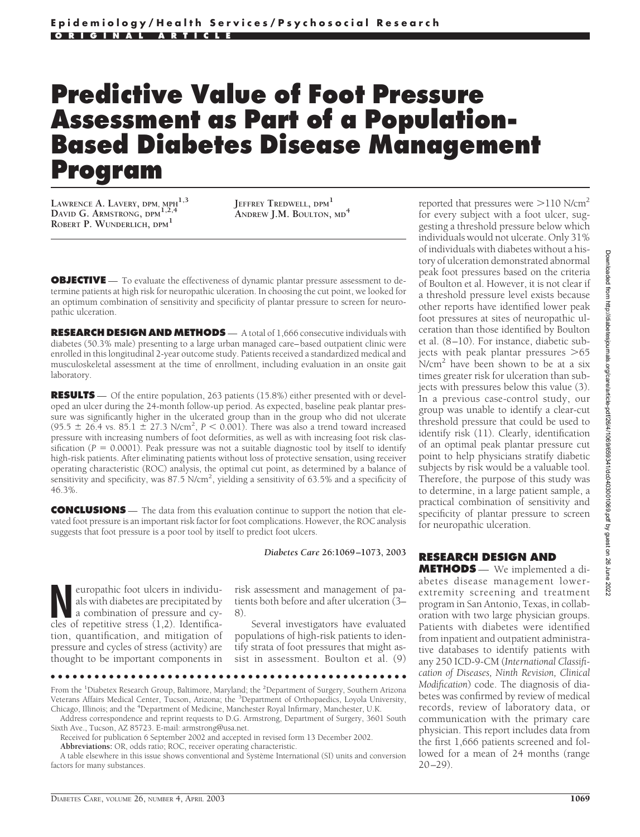## **Predictive Value of Foot Pressure Assessment as Part of a Population-Based Diabetes Disease Management Program**

**LAWRENCE A. LAVERY, DPM, MPH1,3 DAVID G. ARMSTRONG, DPM1,2,4 ROBERT P. WUNDERLICH, DPM<sup>1</sup>**

**JEFFREY TREDWELL, DPM<sup>1</sup> ANDREW J.M. BOULTON, MD<sup>4</sup>**

**OBJECTIVE** — To evaluate the effectiveness of dynamic plantar pressure assessment to determine patients at high risk for neuropathic ulceration. In choosing the cut point, we looked for an optimum combination of sensitivity and specificity of plantar pressure to screen for neuropathic ulceration.

**RESEARCH DESIGN AND METHODS** — A total of 1,666 consecutive individuals with diabetes (50.3% male) presenting to a large urban managed care–based outpatient clinic were enrolled in this longitudinal 2-year outcome study. Patients received a standardized medical and musculoskeletal assessment at the time of enrollment, including evaluation in an onsite gait laboratory.

**RESULTS** — Of the entire population, 263 patients (15.8%) either presented with or developed an ulcer during the 24-month follow-up period. As expected, baseline peak plantar pressure was significantly higher in the ulcerated group than in the group who did not ulcerate  $(95.5 \pm 26.4 \text{ vs. } 85.1 \pm 27.3 \text{ N/cm}^2, P < 0.001)$ . There was also a trend toward increased pressure with increasing numbers of foot deformities, as well as with increasing foot risk classification ( $P = 0.0001$ ). Peak pressure was not a suitable diagnostic tool by itself to identify high-risk patients. After eliminating patients without loss of protective sensation, using receiver operating characteristic (ROC) analysis, the optimal cut point, as determined by a balance of sensitivity and specificity, was 87.5 N/cm<sup>2</sup>, yielding a sensitivity of 63.5% and a specificity of 46.3%.

**CONCLUSIONS** — The data from this evaluation continue to support the notion that elevated foot pressure is an important risk factor for foot complications. However, the ROC analysis suggests that foot pressure is a poor tool by itself to predict foot ulcers.

*Diabetes Care* **26:1069–1073, 2003**

**N**europathic foot ulcers in individuals with diabetes are precipitated by<br>a combination of pressure and cycles of renetitive stress (1.2) Identificaals with diabetes are precipitated by a combination of pressure and cycles of repetitive stress (1,2). Identification, quantification, and mitigation of pressure and cycles of stress (activity) are thought to be important components in

●●●●●●●●●●●●●●●●●●●●●●●●●●●●●●●●●●●●●●●●●●●●●●●●●

risk assessment and management of patients both before and after ulceration (3– 8).

Several investigators have evaluated populations of high-risk patients to identify strata of foot pressures that might assist in assessment. Boulton et al. (9)

From the <sup>1</sup>Diabetex Research Group, Baltimore, Maryland; the <sup>2</sup>Department of Surgery, Southern Arizona Veterans Affairs Medical Center, Tucson, Arizona; the <sup>3</sup>Department of Orthopaedics, Loyola University, Chicago, Illinois; and the <sup>4</sup>Department of Medicine, Manchester Royal Infirmary, Manchester, U.K.

Address correspondence and reprint requests to D.G. Armstrong, Department of Surgery, 3601 South Sixth Ave., Tucson, AZ 85723. E-mail: armstrong@usa.net.

Received for publication 6 September 2002 and accepted in revised form 13 December 2002.

**Abbreviations:** OR, odds ratio; ROC, receiver operating characteristic.

A table elsewhere in this issue shows conventional and Système International (SI) units and conversion factors for many substances.

reported that pressures were  $>$ 110 N/cm<sup>2</sup> for every subject with a foot ulcer, suggesting a threshold pressure below which individuals would not ulcerate. Only 31% of individuals with diabetes without a history of ulceration demonstrated abnormal peak foot pressures based on the criteria of Boulton et al. However, it is not clear if a threshold pressure level exists because other reports have identified lower peak foot pressures at sites of neuropathic ulceration than those identified by Boulton et al. (8–10). For instance, diabetic subjects with peak plantar pressures  $>65$  $N/cm<sup>2</sup>$  have been shown to be at a six times greater risk for ulceration than subjects with pressures below this value (3). In a previous case-control study, our group was unable to identify a clear-cut threshold pressure that could be used to identify risk (11). Clearly, identification of an optimal peak plantar pressure cut point to help physicians stratify diabetic subjects by risk would be a valuable tool. Therefore, the purpose of this study was to determine, in a large patient sample, a practical combination of sensitivity and specificity of plantar pressure to screen for neuropathic ulceration.

## **RESEARCH DESIGN AND**

**METHODS** — We implemented a diabetes disease management lowerextremity screening and treatment program in San Antonio, Texas, in collaboration with two large physician groups. Patients with diabetes were identified from inpatient and outpatient administrative databases to identify patients with any 250 ICD-9-CM (*International Classification of Diseases, Ninth Revision, Clinical Modification*) code. The diagnosis of diabetes was confirmed by review of medical records, review of laboratory data, or communication with the primary care physician. This report includes data from the first 1,666 patients screened and followed for a mean of 24 months (range 20–29).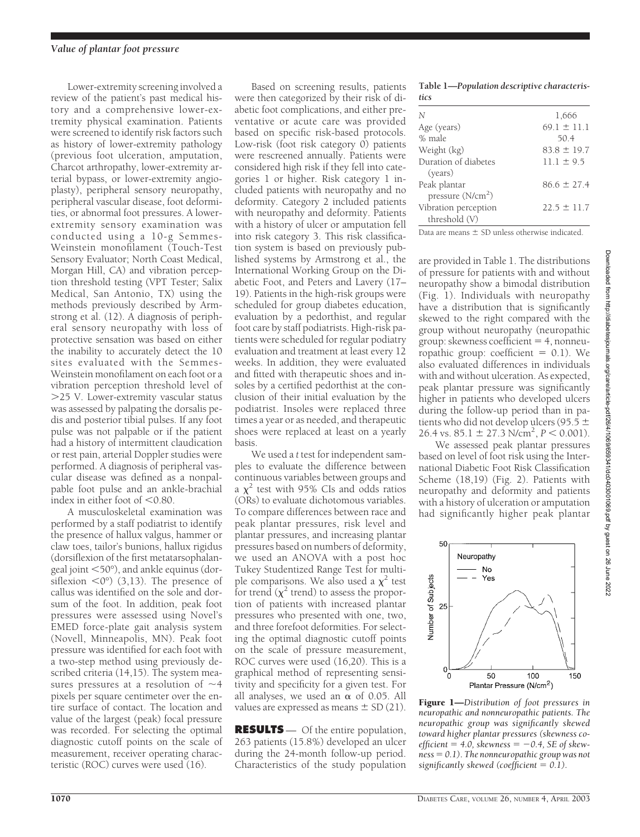Lower-extremity screening involved a review of the patient's past medical history and a comprehensive lower-extremity physical examination. Patients were screened to identify risk factors such as history of lower-extremity pathology (previous foot ulceration, amputation, Charcot arthropathy, lower-extremity arterial bypass, or lower-extremity angioplasty), peripheral sensory neuropathy, peripheral vascular disease, foot deformities, or abnormal foot pressures. A lowerextremity sensory examination was conducted using a 10-g Semmes-Weinstein monofilament (Touch-Test Sensory Evaluator; North Coast Medical, Morgan Hill, CA) and vibration perception threshold testing (VPT Tester; Salix Medical, San Antonio, TX) using the methods previously described by Armstrong et al. (12). A diagnosis of peripheral sensory neuropathy with loss of protective sensation was based on either the inability to accurately detect the 10 sites evaluated with the Semmes-Weinstein monofilament on each foot or a vibration perception threshold level of 25 V. Lower-extremity vascular status was assessed by palpating the dorsalis pedis and posterior tibial pulses. If any foot pulse was not palpable or if the patient had a history of intermittent claudication or rest pain, arterial Doppler studies were performed. A diagnosis of peripheral vascular disease was defined as a nonpalpable foot pulse and an ankle-brachial index in either foot of  $<$  0.80.

A musculoskeletal examination was performed by a staff podiatrist to identify the presence of hallux valgus, hammer or claw toes, tailor's bunions, hallux rigidus (dorsiflexion of the first metatarsophalangeal joint -50°), and ankle equinus (dorsiflexion  $\langle 0^\circ \rangle$  (3,13). The presence of callus was identified on the sole and dorsum of the foot. In addition, peak foot pressures were assessed using Novel's EMED force-plate gait analysis system (Novell, Minneapolis, MN). Peak foot pressure was identified for each foot with a two-step method using previously described criteria (14,15). The system measures pressures at a resolution of  $\sim$ 4 pixels per square centimeter over the entire surface of contact. The location and value of the largest (peak) focal pressure was recorded. For selecting the optimal diagnostic cutoff points on the scale of measurement, receiver operating characteristic (ROC) curves were used (16).

Based on screening results, patients were then categorized by their risk of diabetic foot complications, and either preventative or acute care was provided based on specific risk-based protocols. Low-risk (foot risk category 0) patients were rescreened annually. Patients were considered high risk if they fell into categories 1 or higher. Risk category 1 included patients with neuropathy and no deformity. Category 2 included patients with neuropathy and deformity. Patients with a history of ulcer or amputation fell into risk category 3. This risk classification system is based on previously published systems by Armstrong et al., the International Working Group on the Diabetic Foot, and Peters and Lavery (17– 19). Patients in the high-risk groups were scheduled for group diabetes education, evaluation by a pedorthist, and regular foot care by staff podiatrists. High-risk patients were scheduled for regular podiatry evaluation and treatment at least every 12 weeks. In addition, they were evaluated and fitted with therapeutic shoes and insoles by a certified pedorthist at the conclusion of their initial evaluation by the podiatrist. Insoles were replaced three times a year or as needed, and therapeutic shoes were replaced at least on a yearly basis.

We used a *t* test for independent samples to evaluate the difference between continuous variables between groups and a  $\chi^2$  test with 95% CIs and odds ratios (ORs) to evaluate dichotomous variables. To compare differences between race and peak plantar pressures, risk level and plantar pressures, and increasing plantar pressures based on numbers of deformity, we used an ANOVA with a post hoc Tukey Studentized Range Test for multiple comparisons. We also used a  $\chi^2$  test for trend  $(\chi^2$  trend) to assess the proportion of patients with increased plantar pressures who presented with one, two, and three forefoot deformities. For selecting the optimal diagnostic cutoff points on the scale of pressure measurement, ROC curves were used (16,20). This is a graphical method of representing sensitivity and specificity for a given test. For all analyses, we used an  $\alpha$  of 0.05. All values are expressed as means  $\pm$  SD (21).

**RESULTS** — Of the entire population, 263 patients (15.8%) developed an ulcer during the 24-month follow-up period. Characteristics of the study population

**Table 1—***Population descriptive characteristics*

| N                             | 1,666           |
|-------------------------------|-----------------|
| Age (years)                   | $69.1 \pm 11.1$ |
| % male                        | 50.4            |
| Weight (kg)                   | $83.8 \pm 19.7$ |
| Duration of diabetes          | $11.1 \pm 9.5$  |
| (years)                       |                 |
| Peak plantar                  | $866 + 274$     |
| pressure (N/cm <sup>2</sup> ) |                 |
| Vibration perception          | $22.5 + 11.7$   |
| threshold (V)                 |                 |

Data are means  $\pm$  SD unless otherwise indicated.

are provided in Table 1. The distributions of pressure for patients with and without neuropathy show a bimodal distribution (Fig. 1). Individuals with neuropathy have a distribution that is significantly skewed to the right compared with the group without neuropathy (neuropathic group: skewness coefficient  $=$  4, nonneuropathic group: coefficient  $= 0.1$ ). We also evaluated differences in individuals with and without ulceration. As expected, peak plantar pressure was significantly higher in patients who developed ulcers during the follow-up period than in patients who did not develop ulcers (95.5  $\pm$  $26.4$  vs.  $85.1 \pm 27.3$  N/cm<sup>2</sup>,  $P < 0.001$ ).

We assessed peak plantar pressures based on level of foot risk using the International Diabetic Foot Risk Classification Scheme (18,19) (Fig. 2). Patients with neuropathy and deformity and patients with a history of ulceration or amputation had significantly higher peak plantar



Figure 1—*Distribution of foot pressures in neuropathic and nonneuropathic patients. The neuropathic group was significantly skewed toward higher plantar pressures (skewness co* $efficient = 4.0$ , skewness =  $-0.4$ , SE of skew*ness 0.1). The nonneuropathic group was not significantly skewed (coefficient*  $= 0.1$ ).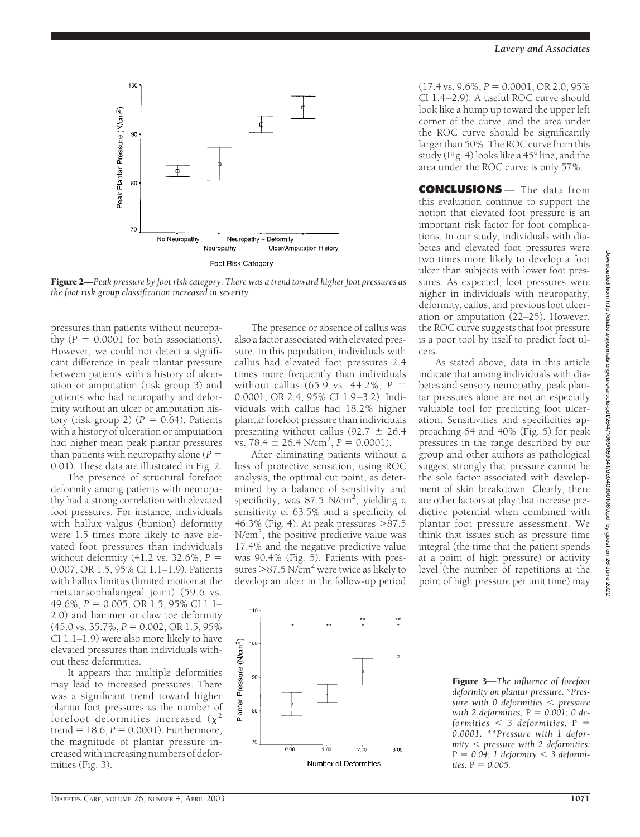

Figure 2—*Peak pressure by foot risk category. There was a trend toward higher foot pressures as the foot risk group classification increased in severity.*

pressures than patients without neuropathy  $(P = 0.0001$  for both associations). However, we could not detect a significant difference in peak plantar pressure between patients with a history of ulceration or amputation (risk group 3) and patients who had neuropathy and deformity without an ulcer or amputation history (risk group 2)  $(P = 0.64)$ . Patients with a history of ulceration or amputation had higher mean peak plantar pressures than patients with neuropathy alone (*P* 0.01). These data are illustrated in Fig. 2.

The presence of structural forefoot deformity among patients with neuropathy had a strong correlation with elevated foot pressures. For instance, individuals with hallux valgus (bunion) deformity were 1.5 times more likely to have elevated foot pressures than individuals without deformity (41.2 vs. 32.6%, *P* 0.007, OR 1.5, 95% CI 1.1–1.9). Patients with hallux limitus (limited motion at the metatarsophalangeal joint) (59.6 vs. 49.6%, *P* 0.005, OR 1.5, 95% CI 1.1– 2.0) and hammer or claw toe deformity  $(45.0 \text{ vs. } 35.7\%, P = 0.002, \text{ OR } 1.5, 95\%$ CI 1.1–1.9) were also more likely to have elevated pressures than individuals without these deformities.

It appears that multiple deformities may lead to increased pressures. There was a significant trend toward higher plantar foot pressures as the number of forefoot deformities increased  $(\chi^2)$ trend  $= 18.6, P = 0.0001$ . Furthermore, the magnitude of plantar pressure increased with increasing numbers of deformities (Fig. 3).

The presence or absence of callus was also a factor associated with elevated pressure. In this population, individuals with callus had elevated foot pressures 2.4 times more frequently than individuals without callus (65.9 vs. 44.2%, *P* 0.0001, OR 2.4, 95% CI 1.9–3.2). Individuals with callus had 18.2% higher plantar forefoot pressure than individuals presenting without callus (92.7  $\pm$  26.4 vs. 78.4  $\pm$  26.4 N/cm<sup>2</sup>, P = 0.0001).

After eliminating patients without a loss of protective sensation, using ROC analysis, the optimal cut point, as determined by a balance of sensitivity and specificity, was 87.5 N/cm<sup>2</sup>, yielding a sensitivity of 63.5% and a specificity of 46.3% (Fig. 4). At peak pressures  $>87.5$ N/cm<sup>2</sup>, the positive predictive value was 17.4% and the negative predictive value was 90.4% (Fig. 5). Patients with pressures  $>87.5$  N/cm<sup>2</sup> were twice as likely to develop an ulcer in the follow-up period



 $(17.4 \text{ vs. } 9.6\%, P = 0.0001, \text{ OR } 2.0, 95\%$ CI 1.4–2.9). A useful ROC curve should look like a hump up toward the upper left corner of the curve, and the area under the ROC curve should be significantly larger than 50%. The ROC curve from this study (Fig. 4) looks like a 45°line, and the area under the ROC curve is only 57%.

**CONCLUSIONS** — The data from this evaluation continue to support the notion that elevated foot pressure is an important risk factor for foot complications. In our study, individuals with diabetes and elevated foot pressures were two times more likely to develop a foot ulcer than subjects with lower foot pressures. As expected, foot pressures were higher in individuals with neuropathy, deformity, callus, and previous foot ulceration or amputation (22–25). However, the ROC curve suggests that foot pressure is a poor tool by itself to predict foot ulcers.

As stated above, data in this article indicate that among individuals with diabetes and sensory neuropathy, peak plantar pressures alone are not an especially valuable tool for predicting foot ulceration. Sensitivities and specificities approaching 64 and 40% (Fig. 5) for peak pressures in the range described by our group and other authors as pathological suggest strongly that pressure cannot be the sole factor associated with development of skin breakdown. Clearly, there are other factors at play that increase predictive potential when combined with plantar foot pressure assessment. We think that issues such as pressure time integral (the time that the patient spends at a point of high pressure) or activity level (the number of repetitions at the point of high pressure per unit time) may

Figure 3—*The influence of forefoot deformity on plantar pressure. \*Pres*sure with 0 deformities  $<$  pressure with 2 deformities, P = 0.001; 0 de*formities* - *3 deformities,* P *0.0001. \*\*Pressure with 1 deformity* - *pressure with 2 deformities:*  $P = 0.04$ ; 1 deformity  $\lt$  3 deformi*ties:*  $P = 0.005$ .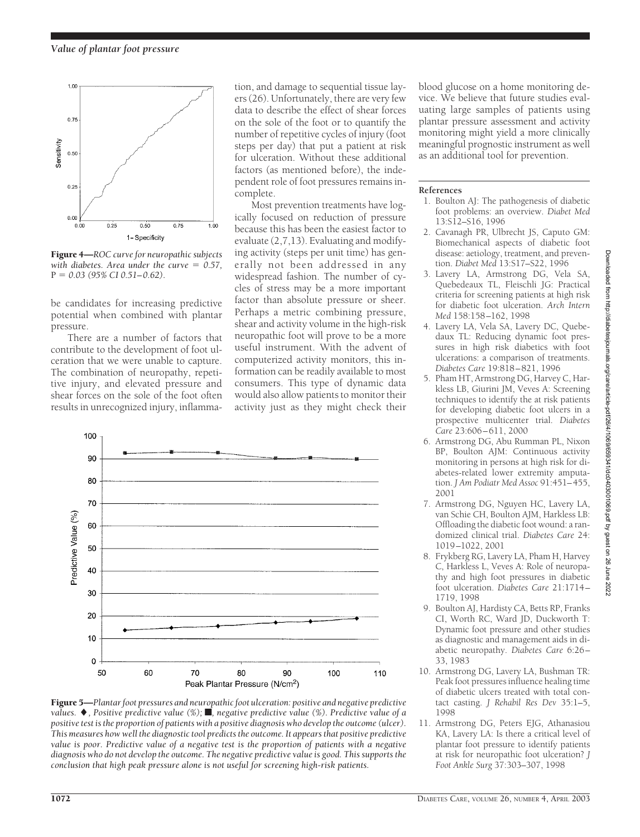

Figure 4—*ROC curve for neuropathic subjects with diabetes. Area under the curve 0.57,*  $P = 0.03$  (95% CI 0.51-0.62).

be candidates for increasing predictive potential when combined with plantar pressure.

There are a number of factors that contribute to the development of foot ulceration that we were unable to capture. The combination of neuropathy, repetitive injury, and elevated pressure and shear forces on the sole of the foot often results in unrecognized injury, inflammation, and damage to sequential tissue layers (26). Unfortunately, there are very few data to describe the effect of shear forces on the sole of the foot or to quantify the number of repetitive cycles of injury (foot steps per day) that put a patient at risk for ulceration. Without these additional factors (as mentioned before), the independent role of foot pressures remains incomplete.

Most prevention treatments have logically focused on reduction of pressure because this has been the easiest factor to evaluate (2,7,13). Evaluating and modifying activity (steps per unit time) has generally not been addressed in any widespread fashion. The number of cycles of stress may be a more important factor than absolute pressure or sheer. Perhaps a metric combining pressure, shear and activity volume in the high-risk neuropathic foot will prove to be a more useful instrument. With the advent of computerized activity monitors, this information can be readily available to most consumers. This type of dynamic data would also allow patients to monitor their activity just as they might check their



Figure 5—*Plantar foot pressures and neuropathic foot ulceration: positive and negative predictive values.* -*, Positive predictive value (%);* f*, negative predictive value (%). Predictive value of a positive test is the proportion of patients with a positive diagnosis who develop the outcome (ulcer). This measures how well the diagnostic tool predicts the outcome. It appears that positive predictive value is poor. Predictive value of a negative test is the proportion of patients with a negative diagnosis who do not develop the outcome. The negative predictive value is good. This supports the conclusion that high peak pressure alone is not useful for screening high-risk patients.*

blood glucose on a home monitoring device. We believe that future studies evaluating large samples of patients using plantar pressure assessment and activity monitoring might yield a more clinically meaningful prognostic instrument as well as an additional tool for prevention.

## **References**

- 1. Boulton AJ: The pathogenesis of diabetic foot problems: an overview. *Diabet Med* 13:S12–S16, 1996
- 2. Cavanagh PR, Ulbrecht JS, Caputo GM: Biomechanical aspects of diabetic foot disease: aetiology, treatment, and prevention. *Diabet Med* 13:S17–S22, 1996
- 3. Lavery LA, Armstrong DG, Vela SA, Quebedeaux TL, Fleischli JG: Practical criteria for screening patients at high risk for diabetic foot ulceration. *Arch Intern Med* 158:158–162, 1998
- 4. Lavery LA, Vela SA, Lavery DC, Quebedaux TL: Reducing dynamic foot pressures in high risk diabetics with foot ulcerations: a comparison of treatments. *Diabetes Care* 19:818–821, 1996
- 5. Pham HT, Armstrong DG, Harvey C, Harkless LB, Giurini JM, Veves A: Screening techniques to identify the at risk patients for developing diabetic foot ulcers in a prospective multicenter trial. *Diabetes Care* 23:606–611, 2000
- 6. Armstrong DG, Abu Rumman PL, Nixon BP, Boulton AJM: Continuous activity monitoring in persons at high risk for diabetes-related lower extremity amputation. *J Am Podiatr Med Assoc* 91:451–455, 2001
- 7. Armstrong DG, Nguyen HC, Lavery LA, van Schie CH, Boulton AJM, Harkless LB: Offloading the diabetic foot wound: a randomized clinical trial. *Diabetes Care* 24: 1019–1022, 2001
- 8. Frykberg RG, Lavery LA, Pham H, Harvey C, Harkless L, Veves A: Role of neuropathy and high foot pressures in diabetic foot ulceration. *Diabetes Care* 21:1714– 1719, 1998
- 9. Boulton AJ, Hardisty CA, Betts RP, Franks CI, Worth RC, Ward JD, Duckworth T: Dynamic foot pressure and other studies as diagnostic and management aids in diabetic neuropathy. *Diabetes Care* 6:26– 33, 1983
- 10. Armstrong DG, Lavery LA, Bushman TR: Peak foot pressures influence healing time of diabetic ulcers treated with total contact casting. *J Rehabil Res Dev* 35:1–5, 1998
- 11. Armstrong DG, Peters EJG, Athanasiou KA, Lavery LA: Is there a critical level of plantar foot pressure to identify patients at risk for neuropathic foot ulceration? *J Foot Ankle Surg* 37:303–307, 1998